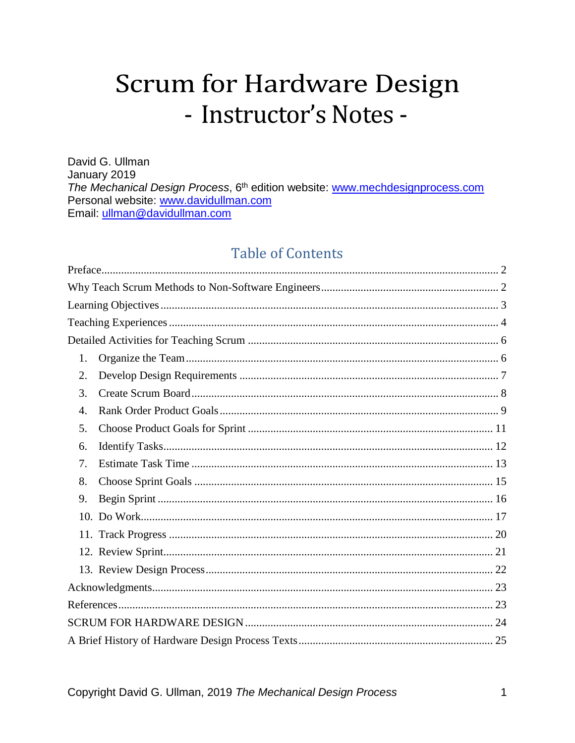# **Scrum for Hardware Design** - Instructor's Notes -

David G. Ullman January 2019 The Mechanical Design Process, 6<sup>th</sup> edition website: www.mechdesignprocess.com Personal website: www.davidullman.com Email: ullman@davidullman.com

# **Table of Contents**

| 1. |  |
|----|--|
| 2. |  |
| 3. |  |
| 4. |  |
| 5. |  |
| 6. |  |
| 7. |  |
| 8. |  |
| 9. |  |
|    |  |
|    |  |
|    |  |
|    |  |
|    |  |
|    |  |
|    |  |
|    |  |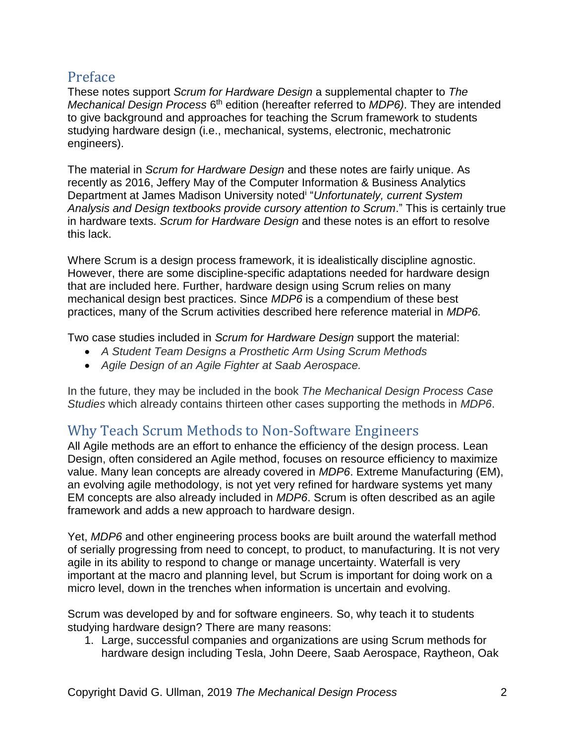# <span id="page-1-0"></span>Preface

These notes support *Scrum for Hardware Design* a supplemental chapter to *The*  Mechanical Design Process 6<sup>th</sup> edition (hereafter referred to MDP6). They are intended to give background and approaches for teaching the Scrum framework to students studying hardware design (i.e., mechanical, systems, electronic, mechatronic engineers).

The material in *Scrum for Hardware Design* and these notes are fairly unique. As recently as 2016, Jeffery May of the Computer Information & Business Analytics Department at James Madison University noted<sup>i</sup> "*Unfortunately, current System Analysis and Design textbooks provide cursory attention to Scrum*." This is certainly true in hardware texts. *Scrum for Hardware Design* and these notes is an effort to resolve this lack.

Where Scrum is a design process framework, it is idealistically discipline agnostic. However, there are some discipline-specific adaptations needed for hardware design that are included here. Further, hardware design using Scrum relies on many mechanical design best practices. Since *MDP6* is a compendium of these best practices, many of the Scrum activities described here reference material in *MDP6.*

Two case studies included in *Scrum for Hardware Design* support the material:

- *A Student Team Designs a Prosthetic Arm Using Scrum Methods*
- *Agile Design of an Agile Fighter at Saab Aerospace.*

In the future, they may be included in the book *The Mechanical Design Process Case Studies* which already contains thirteen other cases supporting the methods in *MDP6*.

# <span id="page-1-1"></span>Why Teach Scrum Methods to Non-Software Engineers

All Agile methods are an effort to enhance the efficiency of the design process. Lean Design, often considered an Agile method, focuses on resource efficiency to maximize value. Many lean concepts are already covered in *MDP6*. Extreme Manufacturing (EM), an evolving agile methodology, is not yet very refined for hardware systems yet many EM concepts are also already included in *MDP6*. Scrum is often described as an agile framework and adds a new approach to hardware design.

Yet, *MDP6* and other engineering process books are built around the waterfall method of serially progressing from need to concept, to product, to manufacturing. It is not very agile in its ability to respond to change or manage uncertainty. Waterfall is very important at the macro and planning level, but Scrum is important for doing work on a micro level, down in the trenches when information is uncertain and evolving.

Scrum was developed by and for software engineers. So, why teach it to students studying hardware design? There are many reasons:

1. Large, successful companies and organizations are using Scrum methods for hardware design including Tesla, John Deere, Saab Aerospace, Raytheon, Oak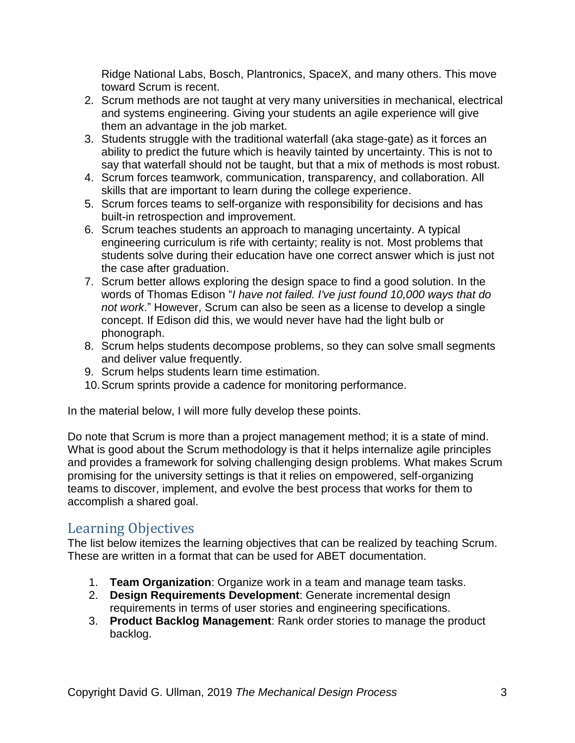Ridge National Labs, Bosch, Plantronics, SpaceX, and many others. This move toward Scrum is recent.

- 2. Scrum methods are not taught at very many universities in mechanical, electrical and systems engineering. Giving your students an agile experience will give them an advantage in the job market.
- 3. Students struggle with the traditional waterfall (aka stage-gate) as it forces an ability to predict the future which is heavily tainted by uncertainty. This is not to say that waterfall should not be taught, but that a mix of methods is most robust.
- 4. Scrum forces teamwork, communication, transparency, and collaboration. All skills that are important to learn during the college experience.
- 5. Scrum forces teams to self-organize with responsibility for decisions and has built-in retrospection and improvement.
- 6. Scrum teaches students an approach to managing uncertainty. A typical engineering curriculum is rife with certainty; reality is not. Most problems that students solve during their education have one correct answer which is just not the case after graduation.
- 7. Scrum better allows exploring the design space to find a good solution. In the words of Thomas Edison "*I have not failed. I've just found 10,000 ways that do not work*." However, Scrum can also be seen as a license to develop a single concept. If Edison did this, we would never have had the light bulb or phonograph.
- 8. Scrum helps students decompose problems, so they can solve small segments and deliver value frequently.
- 9. Scrum helps students learn time estimation.
- 10.Scrum sprints provide a cadence for monitoring performance.

In the material below, I will more fully develop these points.

Do note that Scrum is more than a project management method; it is a state of mind. What is good about the Scrum methodology is that it helps internalize agile principles and provides a framework for solving challenging design problems. What makes Scrum promising for the university settings is that it relies on empowered, self-organizing teams to discover, implement, and evolve the best process that works for them to accomplish a shared goal.

# <span id="page-2-0"></span>Learning Objectives

The list below itemizes the learning objectives that can be realized by teaching Scrum. These are written in a format that can be used for ABET documentation.

- 1. **Team Organization**: Organize work in a team and manage team tasks.
- 2. **Design Requirements Development**: Generate incremental design requirements in terms of user stories and engineering specifications.
- 3. **Product Backlog Management**: Rank order stories to manage the product backlog.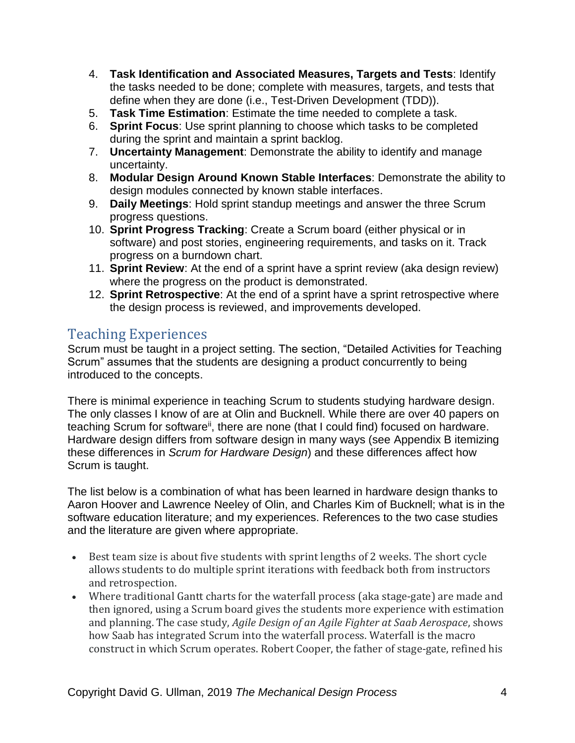- 4. **Task Identification and Associated Measures, Targets and Tests**: Identify the tasks needed to be done; complete with measures, targets, and tests that define when they are done (i.e., Test-Driven Development (TDD)).
- 5. **Task Time Estimation**: Estimate the time needed to complete a task.
- 6. **Sprint Focus**: Use sprint planning to choose which tasks to be completed during the sprint and maintain a sprint backlog.
- 7. **Uncertainty Management**: Demonstrate the ability to identify and manage uncertainty.
- 8. **Modular Design Around Known Stable Interfaces**: Demonstrate the ability to design modules connected by known stable interfaces.
- 9. **Daily Meetings**: Hold sprint standup meetings and answer the three Scrum progress questions.
- 10. **Sprint Progress Tracking**: Create a Scrum board (either physical or in software) and post stories, engineering requirements, and tasks on it. Track progress on a burndown chart.
- 11. **Sprint Review**: At the end of a sprint have a sprint review (aka design review) where the progress on the product is demonstrated.
- 12. **Sprint Retrospective**: At the end of a sprint have a sprint retrospective where the design process is reviewed, and improvements developed.

# <span id="page-3-0"></span>Teaching Experiences

Scrum must be taught in a project setting. The section, "Detailed Activities for Teaching Scrum" assumes that the students are designing a product concurrently to being introduced to the concepts.

There is minimal experience in teaching Scrum to students studying hardware design. The only classes I know of are at Olin and Bucknell. While there are over 40 papers on teaching Scrum for software<sup>ii</sup>, there are none (that I could find) focused on hardware. Hardware design differs from software design in many ways (see Appendix B itemizing these differences in *Scrum for Hardware Design*) and these differences affect how Scrum is taught.

The list below is a combination of what has been learned in hardware design thanks to Aaron Hoover and Lawrence Neeley of Olin, and Charles Kim of Bucknell; what is in the software education literature; and my experiences. References to the two case studies and the literature are given where appropriate.

- Best team size is about five students with sprint lengths of 2 weeks. The short cycle allows students to do multiple sprint iterations with feedback both from instructors and retrospection.
- Where traditional Gantt charts for the waterfall process (aka stage-gate) are made and then ignored, using a Scrum board gives the students more experience with estimation and planning. The case study, *Agile Design of an Agile Fighter at Saab Aerospace*, shows how Saab has integrated Scrum into the waterfall process. Waterfall is the macro construct in which Scrum operates. Robert Cooper, the father of stage-gate, refined his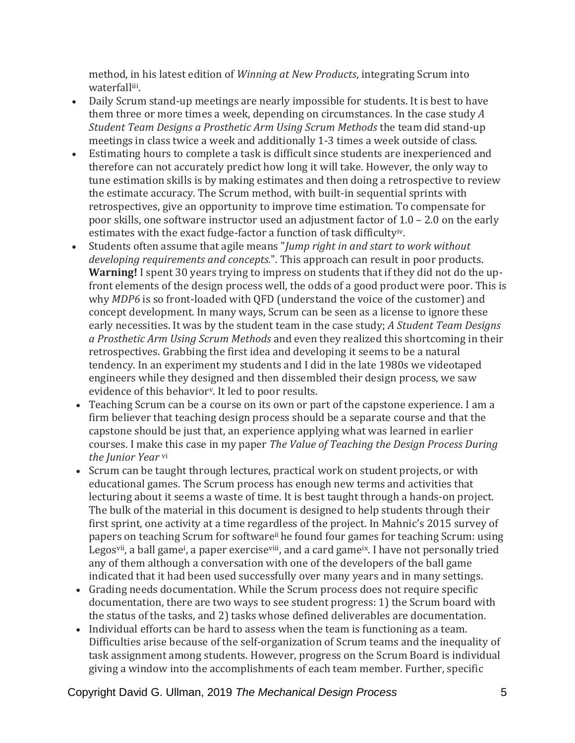method, in his latest edition of *Winning at New Products*, integrating Scrum into waterfalliii.

- Daily Scrum stand-up meetings are nearly impossible for students. It is best to have them three or more times a week, depending on circumstances. In the case study *A Student Team Designs a Prosthetic Arm Using Scrum Methods* the team did stand-up meetings in class twice a week and additionally 1-3 times a week outside of class.
- Estimating hours to complete a task is difficult since students are inexperienced and therefore can not accurately predict how long it will take. However, the only way to tune estimation skills is by making estimates and then doing a retrospective to review the estimate accuracy. The Scrum method, with built-in sequential sprints with retrospectives, give an opportunity to improve time estimation. To compensate for poor skills, one software instructor used an adjustment factor of 1.0 – 2.0 on the early estimates with the exact fudge-factor a function of task difficultyiv.
- <span id="page-4-0"></span>• Students often assume that agile means "*Jump right in and start to work without developing requirements and concepts.*". This approach can result in poor products. **Warning!** I spent 30 years trying to impress on students that if they did not do the upfront elements of the design process well, the odds of a good product were poor. This is why *MDP6* is so front-loaded with QFD (understand the voice of the customer) and concept development. In many ways, Scrum can be seen as a license to ignore these early necessities. It was by the student team in the case study; *A Student Team Designs a Prosthetic Arm Using Scrum Methods* and even they realized this shortcoming in their retrospectives. Grabbing the first idea and developing it seems to be a natural tendency. In an experiment my students and I did in the late 1980s we videotaped engineers while they designed and then dissembled their design process, we saw evidence of this behavior<sup>y</sup>. It led to poor results.
- Teaching Scrum can be a course on its own or part of the capstone experience. I am a firm believer that teaching design process should be a separate course and that the capstone should be just that, an experience applying what was learned in earlier courses. I make this case in my paper *The Value of Teaching the Design Process During the Junior Year* vi
- Scrum can be taught through lectures, practical work on student projects, or with educational games. The Scrum process has enough new terms and activities that lecturing about it seems a waste of time. It is best taught through a hands-on project. The bulk of the material in this document is designed to help students through their first sprint, one activity at a time regardless of the project. In Mahnic's 2015 survey of papers on teaching Scrum for software<sup>ii</sup> he found four games for teaching Scrum: using Legos<sup>vii</sup>, a ball game<sup>i</sup>, a paper exercise<sup>viii</sup>, and a card game<sup>ix</sup>. I have not personally tried any of them although a conversation with one of the developers of the ball game indicated that it had been used successfully over many years and in many settings.
- Grading needs documentation. While the Scrum process does not require specific documentation, there are two ways to see student progress: 1) the Scrum board with the status of the tasks, and 2) tasks whose defined deliverables are documentation.
- Individual efforts can be hard to assess when the team is functioning as a team. Difficulties arise because of the self-organization of Scrum teams and the inequality of task assignment among students. However, progress on the Scrum Board is individual giving a window into the accomplishments of each team member. Further, specific

Copyright David G. Ullman, 2019 *The Mechanical Design Process* 5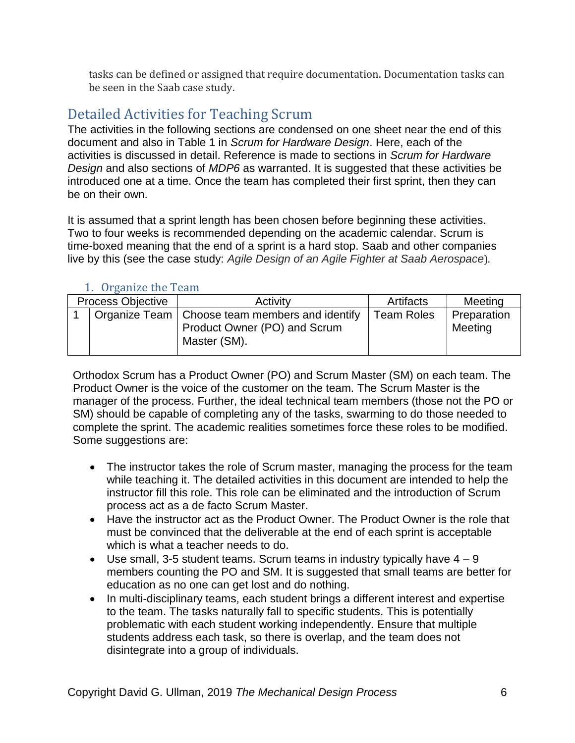tasks can be defined or assigned that require documentation. Documentation tasks can be seen in the Saab case study.

# <span id="page-5-0"></span>Detailed Activities for Teaching Scrum

The activities in the following sections are condensed on one sheet near the end of this document and also in Table 1 in *Scrum for Hardware Design*. Here, each of the activities is discussed in detail. Reference is made to sections in *Scrum for Hardware Design* and also sections of *MDP6* as warranted. It is suggested that these activities be introduced one at a time. Once the team has completed their first sprint, then they can be on their own.

It is assumed that a sprint length has been chosen before beginning these activities. Two to four weeks is recommended depending on the academic calendar. Scrum is time-boxed meaning that the end of a sprint is a hard stop. Saab and other companies live by this (see the case study: *Agile Design of an Agile Fighter at Saab Aerospace*).

<span id="page-5-1"></span>

| <b>Process Objective</b> |  | Activity                                                                                         | Artifacts         | Meeting                |
|--------------------------|--|--------------------------------------------------------------------------------------------------|-------------------|------------------------|
|                          |  | Organize Team   Choose team members and identify<br>Product Owner (PO) and Scrum<br>Master (SM). | <b>Team Roles</b> | Preparation<br>Meeting |

# 1. Organize the Team

Orthodox Scrum has a Product Owner (PO) and Scrum Master (SM) on each team. The Product Owner is the voice of the customer on the team. The Scrum Master is the manager of the process. Further, the ideal technical team members (those not the PO or SM) should be capable of completing any of the tasks, swarming to do those needed to complete the sprint. The academic realities sometimes force these roles to be modified. Some suggestions are:

- The instructor takes the role of Scrum master, managing the process for the team while teaching it. The detailed activities in this document are intended to help the instructor fill this role. This role can be eliminated and the introduction of Scrum process act as a de facto Scrum Master.
- Have the instructor act as the Product Owner. The Product Owner is the role that must be convinced that the deliverable at the end of each sprint is acceptable which is what a teacher needs to do.
- Use small, 3-5 student teams. Scrum teams in industry typically have  $4 9$ members counting the PO and SM. It is suggested that small teams are better for education as no one can get lost and do nothing.
- In multi-disciplinary teams, each student brings a different interest and expertise to the team. The tasks naturally fall to specific students. This is potentially problematic with each student working independently. Ensure that multiple students address each task, so there is overlap, and the team does not disintegrate into a group of individuals.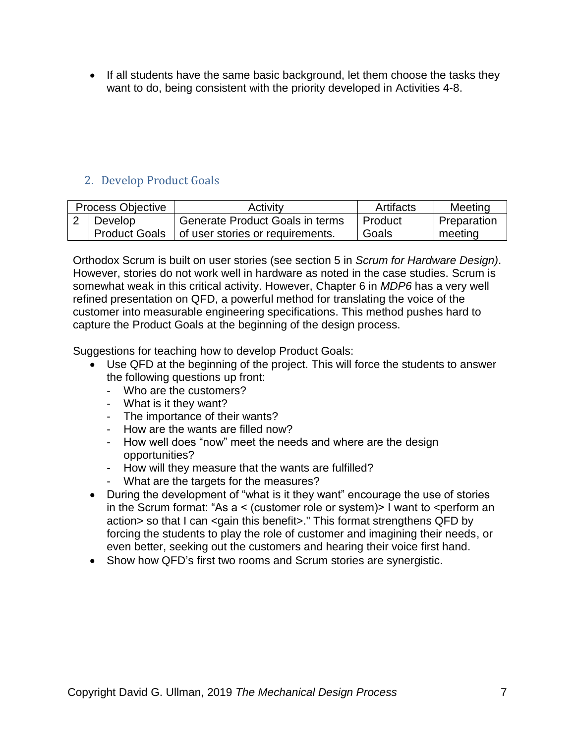• If all students have the same basic background, let them choose the tasks they want to do, being consistent with the priority developed in Activities 4-8.

# <span id="page-6-0"></span>2. Develop Product Goals

| <b>Process Objective</b> |                      | <b>Activity</b>                  | Artifacts | Meeting            |
|--------------------------|----------------------|----------------------------------|-----------|--------------------|
|                          | Develop              | Generate Product Goals in terms  | Product   | <b>Preparation</b> |
|                          | <b>Product Goals</b> | of user stories or requirements. | Goals     | meeting            |

Orthodox Scrum is built on user stories (see section 5 in *Scrum for Hardware Design)*. However, stories do not work well in hardware as noted in the case studies. Scrum is somewhat weak in this critical activity. However, Chapter 6 in *MDP6* has a very well refined presentation on QFD, a powerful method for translating the voice of the customer into measurable engineering specifications. This method pushes hard to capture the Product Goals at the beginning of the design process.

Suggestions for teaching how to develop Product Goals:

- Use QFD at the beginning of the project. This will force the students to answer the following questions up front:
	- Who are the customers?
	- What is it they want?
	- The importance of their wants?
	- How are the wants are filled now?
	- How well does "now" meet the needs and where are the design opportunities?
	- How will they measure that the wants are fulfilled?
	- What are the targets for the measures?
- During the development of "what is it they want" encourage the use of stories in the Scrum format: "As  $a <$  (customer role or system) I want to  $\leq$  perform an action> so that I can <gain this benefit>." This format strengthens QFD by forcing the students to play the role of customer and imagining their needs, or even better, seeking out the customers and hearing their voice first hand.
- Show how QFD's first two rooms and Scrum stories are synergistic.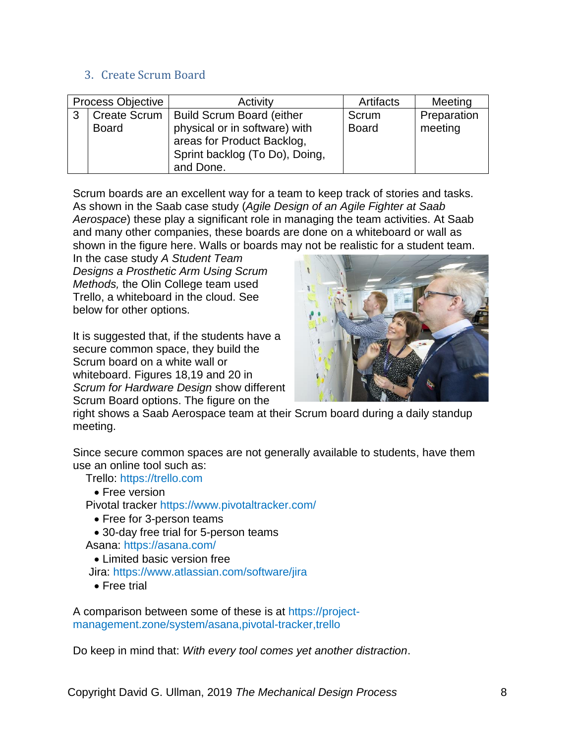### <span id="page-7-0"></span>3. Create Scrum Board

| <b>Process Objective</b> |                     | Activity                         | Artifacts    | Meeting     |
|--------------------------|---------------------|----------------------------------|--------------|-------------|
| 3                        | <b>Create Scrum</b> | <b>Build Scrum Board (either</b> | Scrum        | Preparation |
|                          | <b>Board</b>        | physical or in software) with    | <b>Board</b> | meeting     |
|                          |                     | areas for Product Backlog,       |              |             |
|                          |                     | Sprint backlog (To Do), Doing,   |              |             |
|                          |                     | and Done.                        |              |             |

Scrum boards are an excellent way for a team to keep track of stories and tasks. As shown in the Saab case study (*Agile Design of an Agile Fighter at Saab Aerospace*) these play a significant role in managing the team activities. At Saab and many other companies, these boards are done on a whiteboard or wall as shown in the figure here. Walls or boards may not be realistic for a student team.

In the case study *A Student Team Designs a Prosthetic Arm Using Scrum Methods,* the Olin College team used Trello, a whiteboard in the cloud. See below for other options.

It is suggested that, if the students have a secure common space, they build the Scrum board on a white wall or whiteboard. Figures 18,19 and 20 in *Scrum for Hardware Design* show different Scrum Board options. The figure on the



right shows a Saab Aerospace team at their Scrum board during a daily standup meeting.

Since secure common spaces are not generally available to students, have them use an online tool such as:

Trello: [https://trello.com](https://trello.com/)

• Free version

Pivotal tracker <https://www.pivotaltracker.com/>

• Free for 3-person teams

• 30-day free trial for 5-person teams

Asana: <https://asana.com/>

• Limited basic version free

Jira:<https://www.atlassian.com/software/jira>

• Free trial

A comparison between some of these is at [https://project](https://project-management.zone/system/asana,pivotal-tracker,trello)[management.zone/system/asana,pivotal-tracker,trello](https://project-management.zone/system/asana,pivotal-tracker,trello)

Do keep in mind that: *With every tool comes yet another distraction*.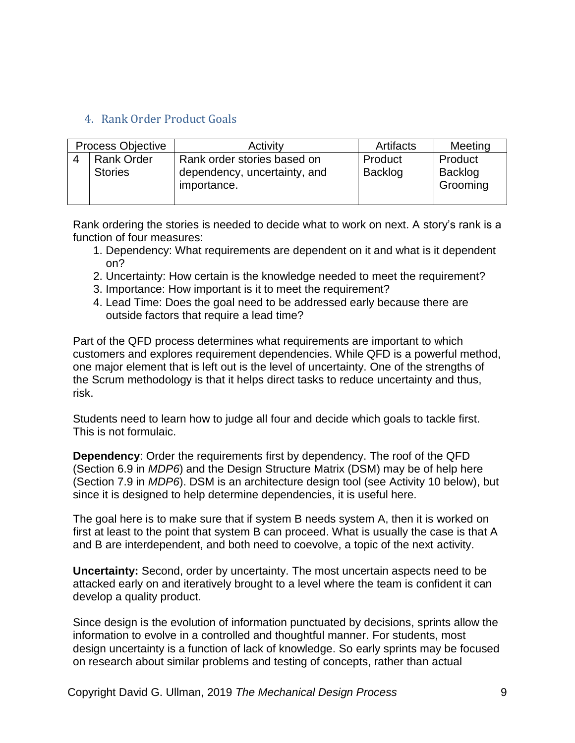# <span id="page-8-0"></span>4. Rank Order Product Goals

| <b>Process Objective</b> |                                     | Activity                                                                   | Artifacts                 | Meeting                        |
|--------------------------|-------------------------------------|----------------------------------------------------------------------------|---------------------------|--------------------------------|
|                          | <b>Rank Order</b><br><b>Stories</b> | Rank order stories based on<br>dependency, uncertainty, and<br>importance. | Product<br><b>Backlog</b> | Product<br>Backlog<br>Grooming |

Rank ordering the stories is needed to decide what to work on next. A story's rank is a function of four measures:

- 1. Dependency: What requirements are dependent on it and what is it dependent on?
- 2. Uncertainty: How certain is the knowledge needed to meet the requirement?
- 3. Importance: How important is it to meet the requirement?
- 4. Lead Time: Does the goal need to be addressed early because there are outside factors that require a lead time?

Part of the QFD process determines what requirements are important to which customers and explores requirement dependencies. While QFD is a powerful method, one major element that is left out is the level of uncertainty. One of the strengths of the Scrum methodology is that it helps direct tasks to reduce uncertainty and thus, risk.

Students need to learn how to judge all four and decide which goals to tackle first. This is not formulaic.

**Dependency**: Order the requirements first by dependency. The roof of the QFD (Section 6.9 in *MDP6*) and the Design Structure Matrix (DSM) may be of help here (Section 7.9 in *MDP6*). DSM is an architecture design tool (see Activity 10 below), but since it is designed to help determine dependencies, it is useful here.

The goal here is to make sure that if system B needs system A, then it is worked on first at least to the point that system B can proceed. What is usually the case is that A and B are interdependent, and both need to coevolve, a topic of the next activity.

**Uncertainty:** Second, order by uncertainty. The most uncertain aspects need to be attacked early on and iteratively brought to a level where the team is confident it can develop a quality product.

Since design is the evolution of information punctuated by decisions, sprints allow the information to evolve in a controlled and thoughtful manner. For students, most design uncertainty is a function of lack of knowledge. So early sprints may be focused on research about similar problems and testing of concepts, rather than actual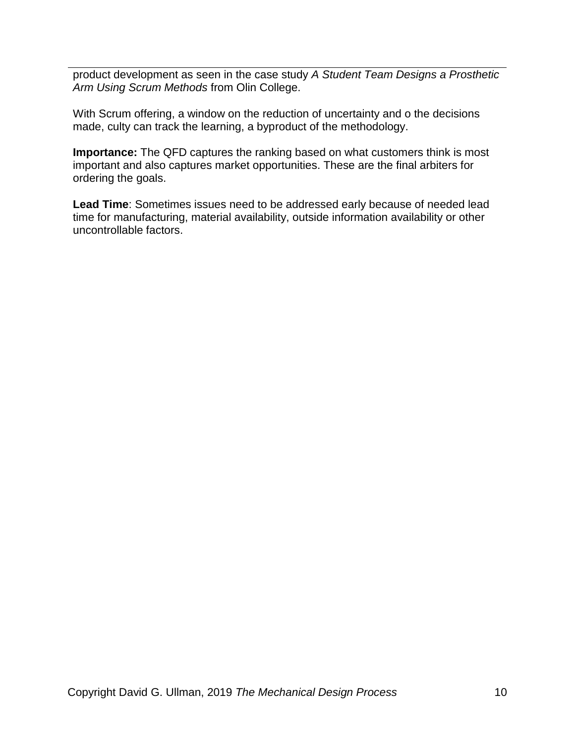product development as seen in the case study *A Student Team Designs a Prosthetic Arm Using Scrum Methods* from Olin College.

With Scrum offering, a window on the reduction of uncertainty and o the decisions made, culty can track the learning, a byproduct of the methodology.

**Importance:** The QFD captures the ranking based on what customers think is most important and also captures market opportunities. These are the final arbiters for ordering the goals.

**Lead Time**: Sometimes issues need to be addressed early because of needed lead time for manufacturing, material availability, outside information availability or other uncontrollable factors.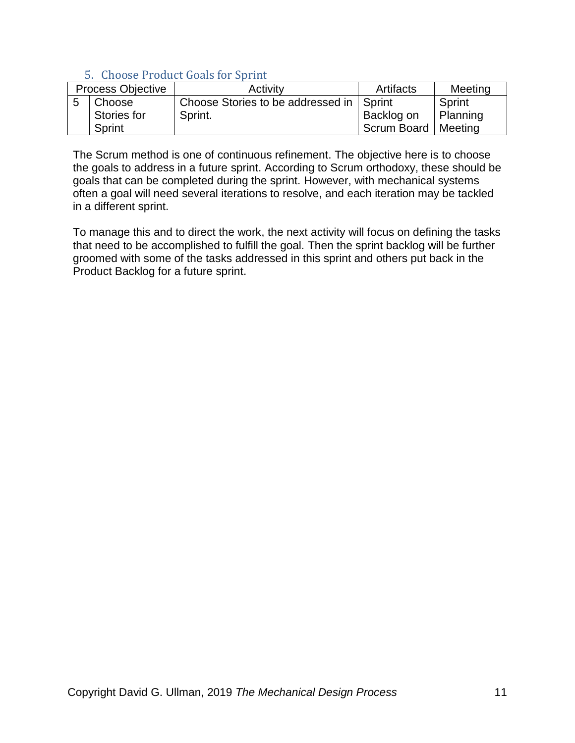# 5. Choose Product Goals for Sprint

<span id="page-10-0"></span>

| <b>Process Objective</b> |             | Activity                                   | Artifacts             | Meeting  |
|--------------------------|-------------|--------------------------------------------|-----------------------|----------|
|                          | Choose      | Choose Stories to be addressed in   Sprint |                       | Sprint   |
|                          | Stories for | Sprint.                                    | Backlog on            | Planning |
|                          | Sprint      |                                            | Scrum Board   Meeting |          |

The Scrum method is one of continuous refinement. The objective here is to choose the goals to address in a future sprint. According to Scrum orthodoxy, these should be goals that can be completed during the sprint. However, with mechanical systems often a goal will need several iterations to resolve, and each iteration may be tackled in a different sprint.

To manage this and to direct the work, the next activity will focus on defining the tasks that need to be accomplished to fulfill the goal. Then the sprint backlog will be further groomed with some of the tasks addressed in this sprint and others put back in the Product Backlog for a future sprint.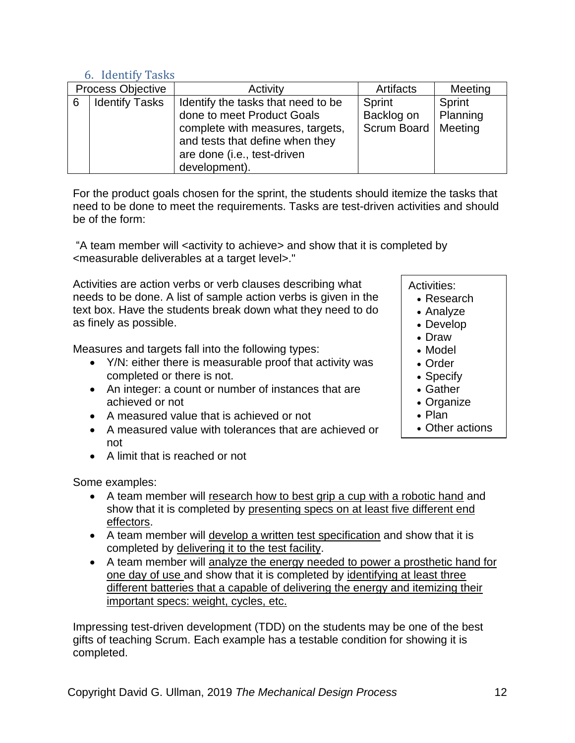### 6. Identify Tasks

<span id="page-11-0"></span>

| <b>Process Objective</b> |                       | Activity                           | Artifacts             | Meeting  |
|--------------------------|-----------------------|------------------------------------|-----------------------|----------|
| 6                        | <b>Identify Tasks</b> | Identify the tasks that need to be | Sprint                | Sprint   |
|                          |                       | done to meet Product Goals         | Backlog on            | Planning |
|                          |                       | complete with measures, targets,   | Scrum Board   Meeting |          |
|                          |                       | and tests that define when they    |                       |          |
|                          |                       | are done (i.e., test-driven        |                       |          |
|                          |                       | development).                      |                       |          |

For the product goals chosen for the sprint, the students should itemize the tasks that need to be done to meet the requirements. Tasks are test-driven activities and should be of the form:

"A team member will <activity to achieve> and show that it is completed by <measurable deliverables at a target level>."

Activities are action verbs or verb clauses describing what needs to be done. A list of sample action verbs is given in the text box. Have the students break down what they need to do as finely as possible.

Measures and targets fall into the following types:

- Y/N: either there is measurable proof that activity was completed or there is not.
- An integer: a count or number of instances that are achieved or not
- A measured value that is achieved or not
- A measured value with tolerances that are achieved or not
- A limit that is reached or not

Some examples:

- A team member will research how to best grip a cup with a robotic hand and show that it is completed by presenting specs on at least five different end effectors.
- A team member will develop a written test specification and show that it is completed by delivering it to the test facility.
- A team member will analyze the energy needed to power a prosthetic hand for one day of use and show that it is completed by identifying at least three different batteries that a capable of delivering the energy and itemizing their important specs: weight, cycles, etc.

Impressing test-driven development (TDD) on the students may be one of the best gifts of teaching Scrum. Each example has a testable condition for showing it is completed.

#### Activities:

- Research
- Analyze
- Develop
- Draw
- Model
- Order
- Specify
- Gather
- Organize
- Plan
- Other actions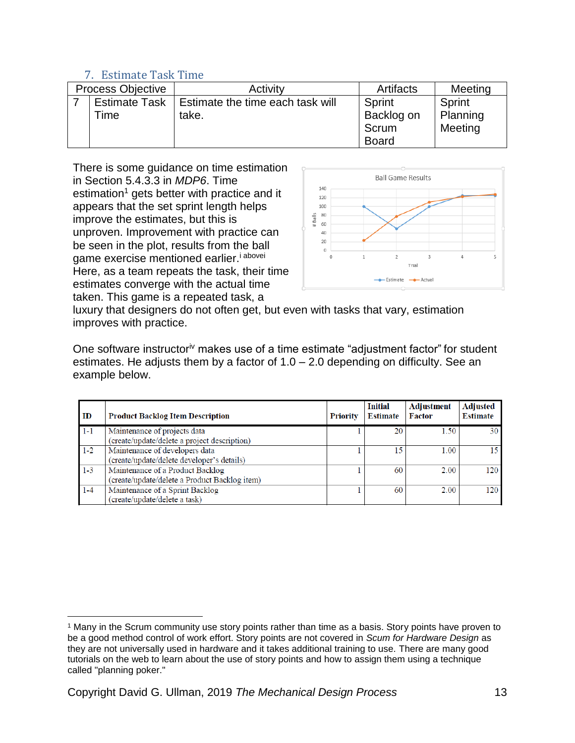### 7. Estimate Task Time

<span id="page-12-0"></span>

| <b>Process Objective</b> |                      | Activity                         | Artifacts    | Meeting  |
|--------------------------|----------------------|----------------------------------|--------------|----------|
|                          | <b>Estimate Task</b> | Estimate the time each task will | Sprint       | Sprint   |
|                          | Time                 | take.                            | Backlog on   | Planning |
|                          |                      |                                  | Scrum        | Meeting  |
|                          |                      |                                  | <b>Board</b> |          |

There is some guidance on time estimation in Section 5.4.3.3 in *MDP6*. Time estimation<sup>1</sup> gets better with practice and it appears that the set sprint length helps improve the estimates, but this is unproven. Improvement with practice can be seen in the plot, results from the ball game exercise mentioned earlier.<sup>i abovei</sup> Here, as a team repeats the task, their time estimates converge with the actual time taken. This game is a repeated task, a



luxury that designers do not often get, but even with tasks that vary, estimation improves with practice.

One software instructor[iv](#page-4-0) makes use of a time estimate "adjustment factor" for student estimates. He adjusts them by a factor of  $1.0 - 2.0$  depending on difficulty. See an example below.

| ID      | <b>Product Backlog Item Description</b>                                           | Priority | <b>Initial</b><br><b>Estimate</b> | Adjustment<br>Factor | <b>Adjusted</b><br><b>Estimate</b> |
|---------|-----------------------------------------------------------------------------------|----------|-----------------------------------|----------------------|------------------------------------|
| $1 - 1$ | Maintenance of projects data<br>(create/update/delete a project description)      |          | 20                                | 1.50                 | 30 <sup>1</sup>                    |
| $1 - 2$ | Maintenance of developers data<br>(create/update/delete developer's details)      |          | 15                                | 1.00                 | 15.                                |
| $1-3$   | Maintenance of a Product Backlog<br>(create/update/delete a Product Backlog item) |          | 60                                | 2.00                 | 120                                |
| $1 - 4$ | Maintenance of a Sprint Backlog<br>(create/update/delete a task)                  |          | 60                                | 2.00                 | 120                                |

 $\overline{a}$ <sup>1</sup> Many in the Scrum community use story points rather than time as a basis. Story points have proven to be a good method control of work effort. Story points are not covered in *Scum for Hardware Design* as they are not universally used in hardware and it takes additional training to use*.* There are many good tutorials on the web to learn about the use of story points and how to assign them using a technique called "planning poker."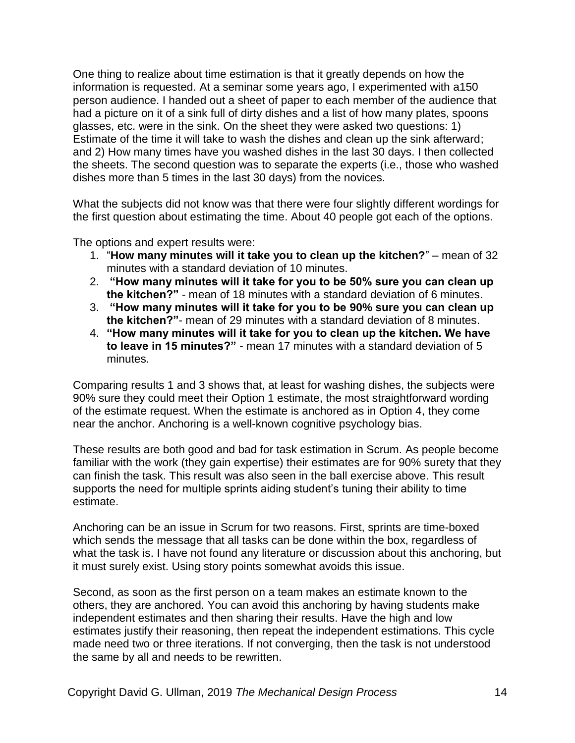One thing to realize about time estimation is that it greatly depends on how the information is requested. At a seminar some years ago, I experimented with a150 person audience. I handed out a sheet of paper to each member of the audience that had a picture on it of a sink full of dirty dishes and a list of how many plates, spoons glasses, etc. were in the sink. On the sheet they were asked two questions: 1) Estimate of the time it will take to wash the dishes and clean up the sink afterward; and 2) How many times have you washed dishes in the last 30 days. I then collected the sheets. The second question was to separate the experts (i.e., those who washed dishes more than 5 times in the last 30 days) from the novices.

What the subjects did not know was that there were four slightly different wordings for the first question about estimating the time. About 40 people got each of the options.

The options and expert results were:

- 1. "**How many minutes will it take you to clean up the kitchen?**" mean of 32 minutes with a standard deviation of 10 minutes.
- 2. **"How many minutes will it take for you to be 50% sure you can clean up the kitchen?"** - mean of 18 minutes with a standard deviation of 6 minutes.
- 3. **"How many minutes will it take for you to be 90% sure you can clean up the kitchen?"**- mean of 29 minutes with a standard deviation of 8 minutes.
- 4. **"How many minutes will it take for you to clean up the kitchen. We have to leave in 15 minutes?"** - mean 17 minutes with a standard deviation of 5 minutes.

Comparing results 1 and 3 shows that, at least for washing dishes, the subjects were 90% sure they could meet their Option 1 estimate, the most straightforward wording of the estimate request. When the estimate is anchored as in Option 4, they come near the anchor. Anchoring is a well-known cognitive psychology bias.

These results are both good and bad for task estimation in Scrum. As people become familiar with the work (they gain expertise) their estimates are for 90% surety that they can finish the task. This result was also seen in the ball exercise above. This result supports the need for multiple sprints aiding student's tuning their ability to time estimate.

Anchoring can be an issue in Scrum for two reasons. First, sprints are time-boxed which sends the message that all tasks can be done within the box, regardless of what the task is. I have not found any literature or discussion about this anchoring, but it must surely exist. Using story points somewhat avoids this issue.

Second, as soon as the first person on a team makes an estimate known to the others, they are anchored. You can avoid this anchoring by having students make independent estimates and then sharing their results. Have the high and low estimates justify their reasoning, then repeat the independent estimations. This cycle made need two or three iterations. If not converging, then the task is not understood the same by all and needs to be rewritten.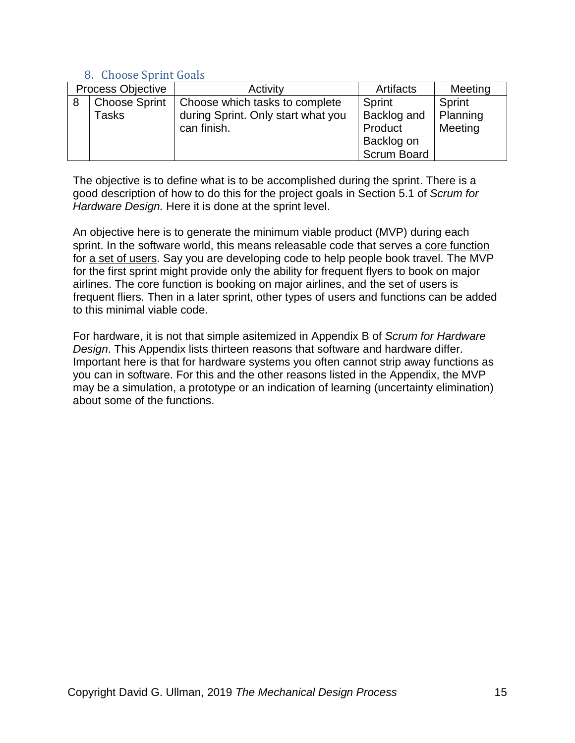### 8. Choose Sprint Goals

<span id="page-14-0"></span>

| Process Objective |                      | Activity                           | Artifacts          | Meeting  |
|-------------------|----------------------|------------------------------------|--------------------|----------|
| 8                 | <b>Choose Sprint</b> | Choose which tasks to complete     | Sprint             | Sprint   |
|                   | Tasks                | during Sprint. Only start what you | Backlog and        | Planning |
|                   |                      | can finish.                        | Product            | Meeting  |
|                   |                      |                                    | Backlog on         |          |
|                   |                      |                                    | <b>Scrum Board</b> |          |

The objective is to define what is to be accomplished during the sprint. There is a good description of how to do this for the project goals in Section 5.1 of *Scrum for Hardware Design.* Here it is done at the sprint level.

An objective here is to generate the minimum viable product (MVP) during each sprint. In the software world, this means releasable code that serves a core function for a set of users. Say you are developing code to help people book travel. The MVP for the first sprint might provide only the ability for frequent flyers to book on major airlines. The core function is booking on major airlines, and the set of users is frequent fliers. Then in a later sprint, other types of users and functions can be added to this minimal viable code.

For hardware, it is not that simple asitemized in Appendix B of *Scrum for Hardware Design*. This Appendix lists thirteen reasons that software and hardware differ. Important here is that for hardware systems you often cannot strip away functions as you can in software. For this and the other reasons listed in the Appendix, the MVP may be a simulation, a prototype or an indication of learning (uncertainty elimination) about some of the functions.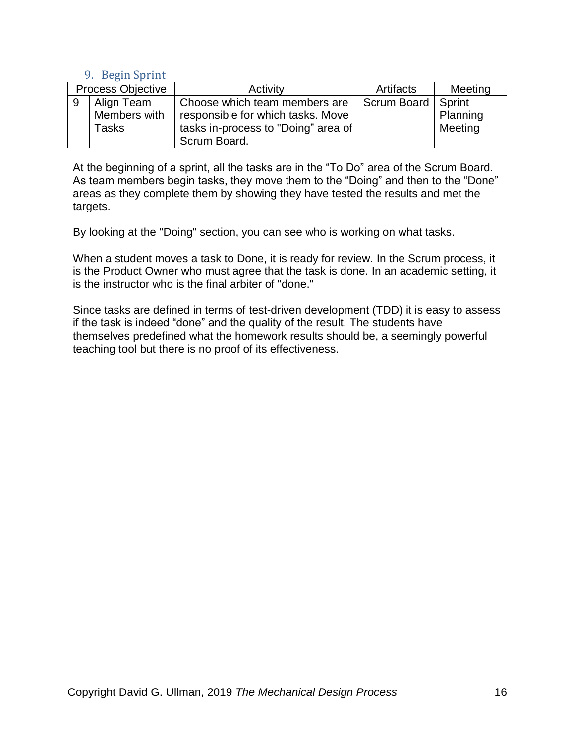### 9. Begin Sprint

<span id="page-15-0"></span>

| <b>Process Objective</b> |              | Activity                            | Artifacts          | Meeting  |
|--------------------------|--------------|-------------------------------------|--------------------|----------|
| 9                        | Align Team   | Choose which team members are       | Scrum Board Sprint |          |
|                          | Members with | responsible for which tasks. Move   |                    | Planning |
|                          | <b>Tasks</b> | tasks in-process to "Doing" area of |                    | Meeting  |
|                          |              | Scrum Board.                        |                    |          |

At the beginning of a sprint, all the tasks are in the "To Do" area of the Scrum Board. As team members begin tasks, they move them to the "Doing" and then to the "Done" areas as they complete them by showing they have tested the results and met the targets.

By looking at the "Doing" section, you can see who is working on what tasks.

When a student moves a task to Done, it is ready for review. In the Scrum process, it is the Product Owner who must agree that the task is done. In an academic setting, it is the instructor who is the final arbiter of "done."

Since tasks are defined in terms of test-driven development (TDD) it is easy to assess if the task is indeed "done" and the quality of the result. The students have themselves predefined what the homework results should be, a seemingly powerful teaching tool but there is no proof of its effectiveness.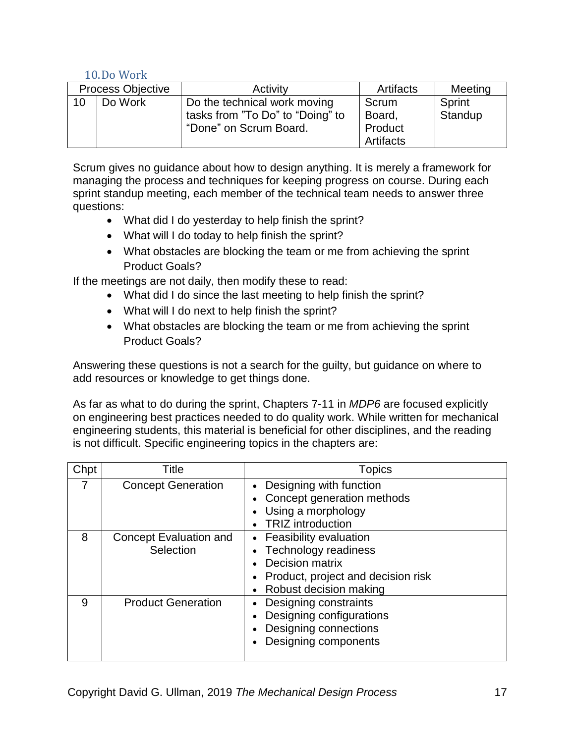## 10.Do Work

<span id="page-16-0"></span>

| <b>Process Objective</b> |         | Activity                         | Artifacts | Meeting |
|--------------------------|---------|----------------------------------|-----------|---------|
| 10                       | Do Work | Do the technical work moving     | Scrum     | Sprint  |
|                          |         | tasks from "To Do" to "Doing" to | Board,    | Standup |
|                          |         | "Done" on Scrum Board.           | Product   |         |
|                          |         |                                  | Artifacts |         |

Scrum gives no guidance about how to design anything. It is merely a framework for managing the process and techniques for keeping progress on course. During each sprint standup meeting, each member of the technical team needs to answer three questions:

- What did I do yesterday to help finish the sprint?
- What will I do today to help finish the sprint?
- What obstacles are blocking the team or me from achieving the sprint Product Goals?

If the meetings are not daily, then modify these to read:

- What did I do since the last meeting to help finish the sprint?
- What will I do next to help finish the sprint?
- What obstacles are blocking the team or me from achieving the sprint Product Goals?

Answering these questions is not a search for the guilty, but guidance on where to add resources or knowledge to get things done.

As far as what to do during the sprint, Chapters 7-11 in *MDP6* are focused explicitly on engineering best practices needed to do quality work. While written for mechanical engineering students, this material is beneficial for other disciplines, and the reading is not difficult. Specific engineering topics in the chapters are:

| Chpt | Title                               | Topics                                                                                                                                   |  |
|------|-------------------------------------|------------------------------------------------------------------------------------------------------------------------------------------|--|
| 7    | <b>Concept Generation</b>           | Designing with function<br>Concept generation methods<br>Using a morphology<br><b>TRIZ</b> introduction                                  |  |
| 8    | Concept Evaluation and<br>Selection | Feasibility evaluation<br><b>Technology readiness</b><br>Decision matrix<br>Product, project and decision risk<br>Robust decision making |  |
| 9    | <b>Product Generation</b>           | Designing constraints<br>Designing configurations<br>Designing connections<br>Designing components                                       |  |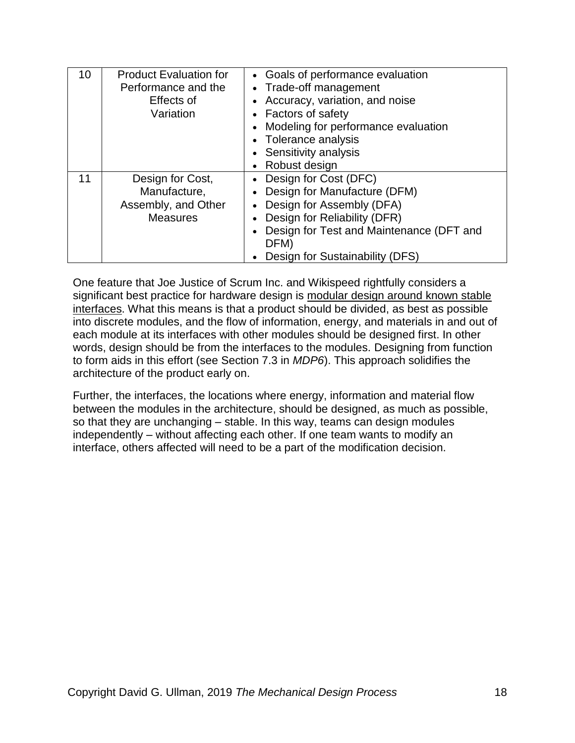| 10 | <b>Product Evaluation for</b><br>Performance and the<br>Effects of<br>Variation | • Goals of performance evaluation<br>• Trade-off management<br>• Accuracy, variation, and noise<br>• Factors of safety<br>Modeling for performance evaluation<br>Tolerance analysis<br>• Sensitivity analysis<br>Robust design |
|----|---------------------------------------------------------------------------------|--------------------------------------------------------------------------------------------------------------------------------------------------------------------------------------------------------------------------------|
| 11 | Design for Cost,<br>Manufacture,<br>Assembly, and Other<br><b>Measures</b>      | • Design for Cost (DFC)<br>Design for Manufacture (DFM)<br>Design for Assembly (DFA)<br>$\bullet$<br>Design for Reliability (DFR)<br>Design for Test and Maintenance (DFT and<br>DFM)<br>Design for Sustainability (DFS)       |

One feature that Joe Justice of Scrum Inc. and Wikispeed rightfully considers a significant best practice for hardware design is modular design around known stable interfaces. What this means is that a product should be divided, as best as possible into discrete modules, and the flow of information, energy, and materials in and out of each module at its interfaces with other modules should be designed first. In other words, design should be from the interfaces to the modules. Designing from function to form aids in this effort (see Section 7.3 in *MDP6*). This approach solidifies the architecture of the product early on.

Further, the interfaces, the locations where energy, information and material flow between the modules in the architecture, should be designed, as much as possible, so that they are unchanging – stable. In this way, teams can design modules independently – without affecting each other. If one team wants to modify an interface, others affected will need to be a part of the modification decision.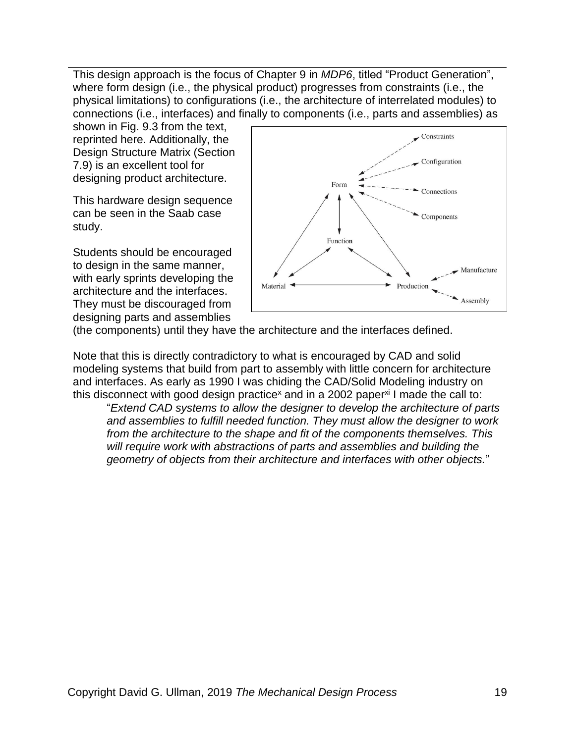This design approach is the focus of Chapter 9 in *MDP6*, titled "Product Generation", where form design (i.e., the physical product) progresses from constraints (i.e., the physical limitations) to configurations (i.e., the architecture of interrelated modules) to connections (i.e., interfaces) and finally to components (i.e., parts and assemblies) as

shown in Fig. 9.3 from the text, reprinted here. Additionally, the Design Structure Matrix (Section 7.9) is an excellent tool for designing product architecture.

This hardware design sequence can be seen in the Saab case study.

Students should be encouraged to design in the same manner, with early sprints developing the architecture and the interfaces. They must be discouraged from designing parts and assemblies



(the components) until they have the architecture and the interfaces defined.

Note that this is directly contradictory to what is encouraged by CAD and solid modeling systems that build from part to assembly with little concern for architecture and interfaces. As early as 1990 I was chiding the CAD/Solid Modeling industry on this disconnect with good design practice<sup>x</sup> and in a 2002 paper<sup>xi</sup> I made the call to:

"*Extend CAD systems to allow the designer to develop the architecture of parts and assemblies to fulfill needed function. They must allow the designer to work from the architecture to the shape and fit of the components themselves. This will require work with abstractions of parts and assemblies and building the geometry of objects from their architecture and interfaces with other objects.*"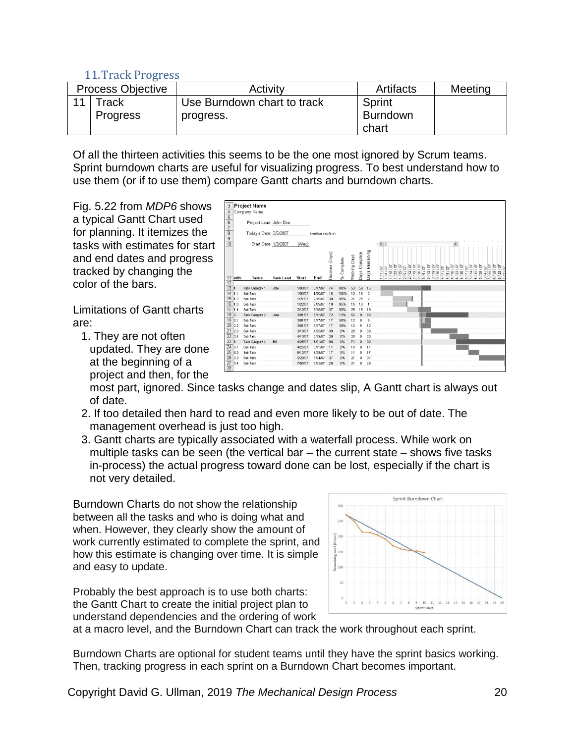### 11.Track Progress

<span id="page-19-0"></span>

| <b>Process Objective</b> |                     | Activity                    | Artifacts       | Meeting |
|--------------------------|---------------------|-----------------------------|-----------------|---------|
| $\overline{11}$          | $\mathsf{^{T}$ rack | Use Burndown chart to track | Sprint          |         |
|                          | <b>Progress</b>     | progress.                   | <b>Burndown</b> |         |
|                          |                     |                             | chart           |         |

Of all the thirteen activities this seems to be the one most ignored by Scrum teams. Sprint burndown charts are useful for visualizing progress. To best understand how to use them (or if to use them) compare Gantt charts and burndown charts.

Fig. 5.22 from *MDP6* shows a typical Gantt Chart used for planning. It itemizes the tasks with estimates for start and end dates and progress tracked by changing the color of the bars.

Limitations of Gantt charts are:

1. They are not often updated. They are done at the beginning of a project and then, for the



most part, ignored. Since tasks change and dates slip, A Gantt chart is always out of date.

- 2. If too detailed then hard to read and even more likely to be out of date. The management overhead is just too high.
- 3. Gantt charts are typically associated with a waterfall process. While work on multiple tasks can be seen (the vertical bar – the current state – shows five tasks in-process) the actual progress toward done can be lost, especially if the chart is not very detailed.

Burndown Charts do not show the relationship between all the tasks and who is doing what and when. However, they clearly show the amount of work currently estimated to complete the sprint, and how this estimate is changing over time. It is simple and easy to update.

Probably the best approach is to use both charts: the Gantt Chart to create the initial project plan to understand dependencies and the ordering of work



at a macro level, and the Burndown Chart can track the work throughout each sprint.

Burndown Charts are optional for student teams until they have the sprint basics working. Then, tracking progress in each sprint on a Burndown Chart becomes important.

Copyright David G. Ullman, 2019 *The Mechanical Design Process* 20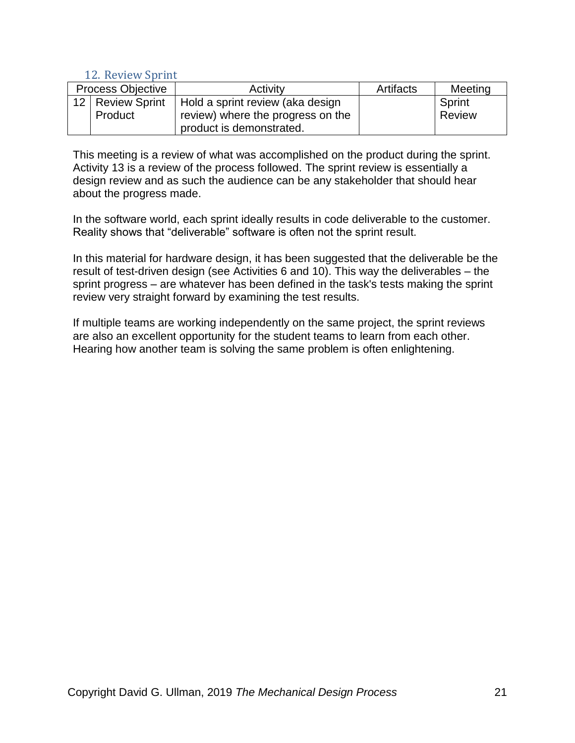### <span id="page-20-0"></span>12. Review Sprint

| <b>Process Objective</b> |                    | Activity                          | Artifacts | Meeting |
|--------------------------|--------------------|-----------------------------------|-----------|---------|
|                          | 12   Review Sprint | Hold a sprint review (aka design  |           | Sprint  |
|                          | Product            | review) where the progress on the |           | Review  |
|                          |                    | product is demonstrated.          |           |         |

This meeting is a review of what was accomplished on the product during the sprint. Activity 13 is a review of the process followed. The sprint review is essentially a design review and as such the audience can be any stakeholder that should hear about the progress made.

In the software world, each sprint ideally results in code deliverable to the customer. Reality shows that "deliverable" software is often not the sprint result.

In this material for hardware design, it has been suggested that the deliverable be the result of test-driven design (see Activities 6 and 10). This way the deliverables – the sprint progress – are whatever has been defined in the task's tests making the sprint review very straight forward by examining the test results.

If multiple teams are working independently on the same project, the sprint reviews are also an excellent opportunity for the student teams to learn from each other. Hearing how another team is solving the same problem is often enlightening.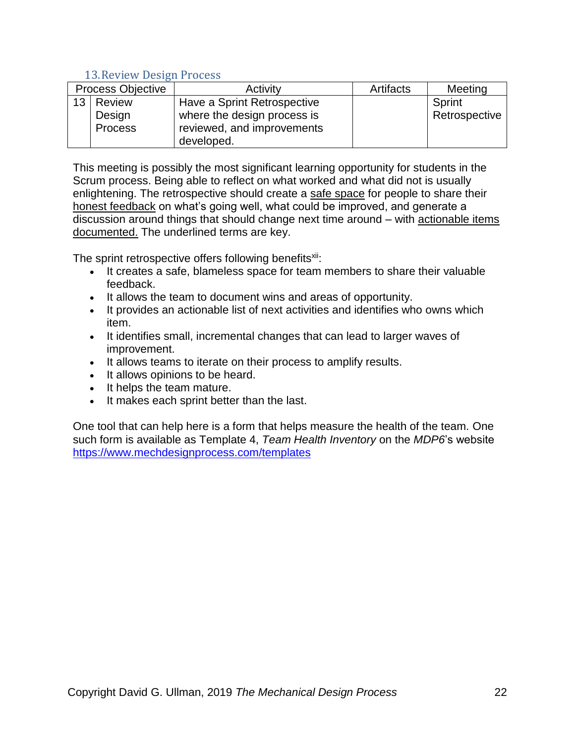### 13.Review Design Process

<span id="page-21-0"></span>

| <b>Process Objective</b> |                | Activity                    | Artifacts | Meeting       |
|--------------------------|----------------|-----------------------------|-----------|---------------|
| 13 <sup>2</sup>          | <b>Review</b>  | Have a Sprint Retrospective |           | Sprint        |
|                          | Design         | where the design process is |           | Retrospective |
|                          | <b>Process</b> | reviewed, and improvements  |           |               |
|                          |                | developed.                  |           |               |

This meeting is possibly the most significant learning opportunity for students in the Scrum process. Being able to reflect on what worked and what did not is usually enlightening. The retrospective should create a safe space for people to share their honest feedback on what's going well, what could be improved, and generate a discussion around things that should change next time around – with actionable items documented. The underlined terms are key.

The sprint retrospective offers following benefits<sup>xii</sup>:

- It creates a safe, blameless space for team members to share their valuable feedback.
- It allows the team to document wins and areas of opportunity.
- It provides an actionable list of next activities and identifies who owns which item.
- It identifies small, incremental changes that can lead to larger waves of improvement.
- It allows teams to iterate on their process to amplify results.
- It allows opinions to be heard.
- It helps the team mature.
- It makes each sprint better than the last.

One tool that can help here is a form that helps measure the health of the team. One such form is available as Template 4, *Team Health Inventory* on the *MDP6*'s website <https://www.mechdesignprocess.com/templates>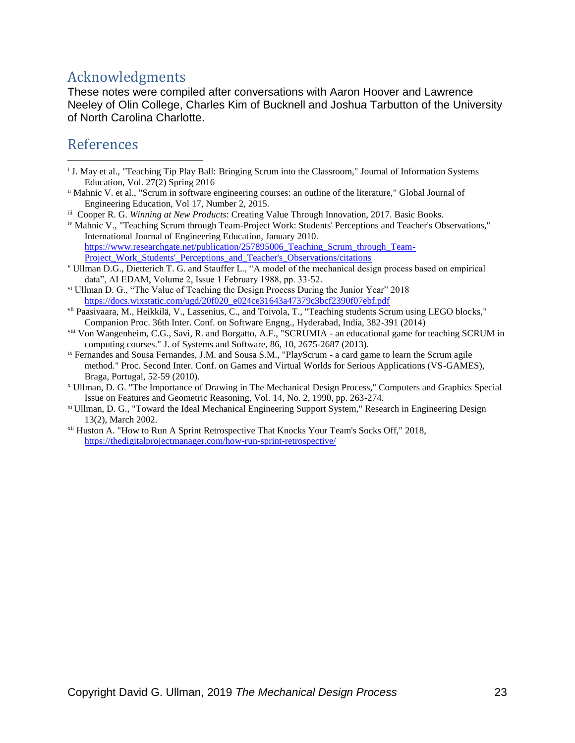# <span id="page-22-0"></span>Acknowledgments

These notes were compiled after conversations with Aaron Hoover and Lawrence Neeley of Olin College, Charles Kim of Bucknell and Joshua Tarbutton of the University of North Carolina Charlotte.

# <span id="page-22-1"></span>References

 $\overline{a}$ 

- <sup>i</sup> J. May et al., "Teaching Tip Play Ball: Bringing Scrum into the Classroom," Journal of Information Systems Education, Vol. 27(2) Spring 2016
- ii Mahnic V. et al., "Scrum in software engineering courses: an outline of the literature," Global Journal of Engineering Education, Vol 17, Number 2, 2015.
- iii Cooper R. G. *Winning at New Products*: Creating Value Through Innovation, 2017. Basic Books.
- iv Mahnic V., "Teaching Scrum through Team-Project Work: Students' Perceptions and Teacher's Observations," International Journal of Engineering Education, January 2010. https://www.researchgate.net/publication/257895006 Teaching Scrum through Team-Project\_Work\_Students' Perceptions\_and\_Teacher's\_Observations/citations
- <sup>v</sup> Ullman D.G., Dietterich T. G. and Stauffer L., "A model of the mechanical design process based on empirical data", AI EDAM, Volume 2, Issue 1 February 1988, pp. 33-52.
- vi Ullman D. G., "The Value of Teaching the Design Process During the Junior Year" 2018 [https://docs.wixstatic.com/ugd/20f020\\_e024ce31643a47379c3bcf2390f07ebf.pdf](https://docs.wixstatic.com/ugd/20f020_e024ce31643a47379c3bcf2390f07ebf.pdf)
- vii Paasivaara, M., Heikkilä, V., Lassenius, C., and Toivola, T., "Teaching students Scrum using LEGO blocks," Companion Proc. 36th Inter. Conf. on Software Engng., Hyderabad, India, 382-391 (2014)
- viii Von Wangenheim, C.G., Savi, R. and Borgatto, A.F., "SCRUMIA an educational game for teaching SCRUM in computing courses." J. of Systems and Software, 86, 10, 2675-2687 (2013).
- ix Fernandes and Sousa Fernandes, J.M. and Sousa S.M., "PlayScrum a card game to learn the Scrum agile method." Proc. Second Inter. Conf. on Games and Virtual Worlds for Serious Applications (VS-GAMES), Braga, Portugal, 52-59 (2010).
- <sup>x</sup> Ullman, D. G. "The Importance of Drawing in The Mechanical Design Process," Computers and Graphics Special Issue on Features and Geometric Reasoning, Vol. 14, No. 2, 1990, pp. 263-274.
- xi Ullman, D. G., "Toward the Ideal Mechanical Engineering Support System," Research in Engineering Design 13(2), March 2002.
- xii Huston A. "How to Run A Sprint Retrospective That Knocks Your Team's Socks Off," 2018, <https://thedigitalprojectmanager.com/how-run-sprint-retrospective/>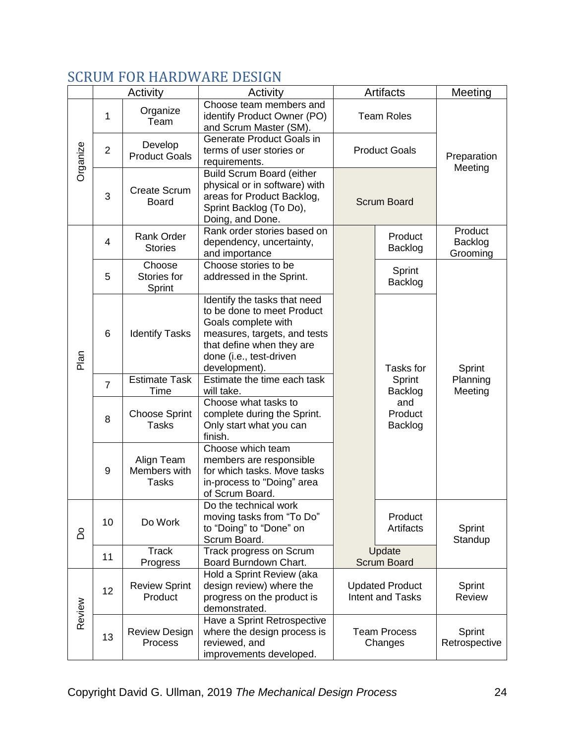# <span id="page-23-0"></span>SCRUM FOR HARDWARE DESIGN

|          |                 | Activity                                   | Activity                                                                                                                                                                                   | <b>Artifacts</b>                           |                           | Meeting                        |
|----------|-----------------|--------------------------------------------|--------------------------------------------------------------------------------------------------------------------------------------------------------------------------------------------|--------------------------------------------|---------------------------|--------------------------------|
| Organize | 1               | Organize<br>Team                           | Choose team members and<br>identify Product Owner (PO)<br>and Scrum Master (SM).                                                                                                           | <b>Team Roles</b>                          |                           |                                |
|          | $\overline{2}$  | Develop<br><b>Product Goals</b>            | Generate Product Goals in<br>terms of user stories or<br>requirements.                                                                                                                     | <b>Product Goals</b>                       |                           | Preparation<br>Meeting         |
|          | 3               | <b>Create Scrum</b><br><b>Board</b>        | <b>Build Scrum Board (either</b><br>physical or in software) with<br>areas for Product Backlog,<br>Sprint Backlog (To Do),<br>Doing, and Done.                                             | <b>Scrum Board</b>                         |                           |                                |
| Plan     | $\overline{4}$  | <b>Rank Order</b><br><b>Stories</b>        | Rank order stories based on<br>dependency, uncertainty,<br>and importance                                                                                                                  |                                            | Product<br>Backlog        | Product<br>Backlog<br>Grooming |
|          | 5               | Choose<br>Stories for<br>Sprint            | Choose stories to be<br>addressed in the Sprint.                                                                                                                                           |                                            | Sprint<br>Backlog         |                                |
|          | $6\phantom{1}6$ | <b>Identify Tasks</b>                      | Identify the tasks that need<br>to be done to meet Product<br>Goals complete with<br>measures, targets, and tests<br>that define when they are<br>done (i.e., test-driven<br>development). |                                            | Tasks for                 | Sprint                         |
|          | $\overline{7}$  | <b>Estimate Task</b><br>Time               | Estimate the time each task<br>will take.                                                                                                                                                  |                                            | Sprint<br>Backlog         | Planning<br>Meeting            |
|          | 8               | <b>Choose Sprint</b><br><b>Tasks</b>       | Choose what tasks to<br>complete during the Sprint.<br>Only start what you can<br>finish.                                                                                                  |                                            | and<br>Product<br>Backlog |                                |
|          | 9               | Align Team<br>Members with<br><b>Tasks</b> | Choose which team<br>members are responsible<br>for which tasks. Move tasks<br>in-process to "Doing" area<br>of Scrum Board.                                                               |                                            |                           |                                |
| å        | 10              | Do Work                                    | Do the technical work<br>moving tasks from "To Do"<br>to "Doing" to "Done" on<br>Scrum Board.                                                                                              |                                            | Product<br>Artifacts      | Sprint<br>Standup              |
|          | 11              | <b>Track</b><br>Progress                   | Track progress on Scrum<br>Board Burndown Chart.                                                                                                                                           | Update<br><b>Scrum Board</b>               |                           |                                |
| Review   | 12              | <b>Review Sprint</b><br>Product            | Hold a Sprint Review (aka<br>design review) where the<br>progress on the product is<br>demonstrated.                                                                                       | <b>Updated Product</b><br>Intent and Tasks |                           | Sprint<br>Review               |
|          | 13              | <b>Review Design</b><br>Process            | Have a Sprint Retrospective<br>where the design process is<br>reviewed, and<br>improvements developed.                                                                                     | <b>Team Process</b><br>Changes             |                           | Sprint<br>Retrospective        |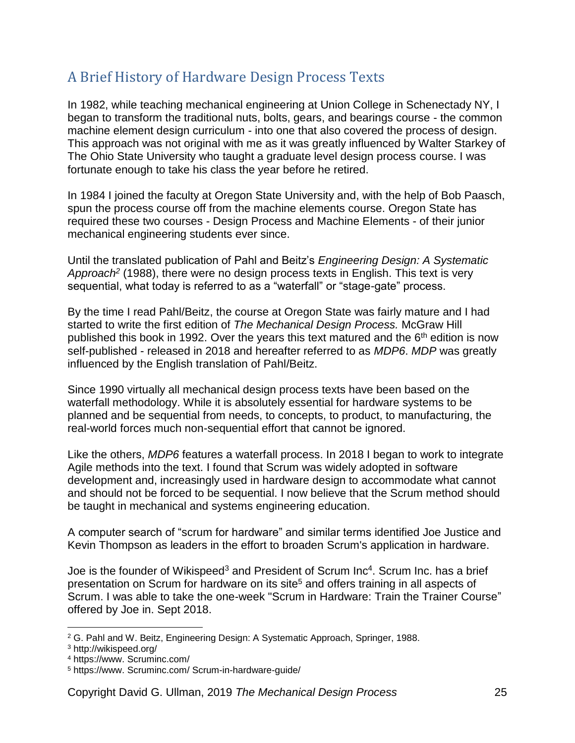# <span id="page-24-0"></span>A Brief History of Hardware Design Process Texts

In 1982, while teaching mechanical engineering at Union College in Schenectady NY, I began to transform the traditional nuts, bolts, gears, and bearings course - the common machine element design curriculum - into one that also covered the process of design. This approach was not original with me as it was greatly influenced by Walter Starkey of The Ohio State University who taught a graduate level design process course. I was fortunate enough to take his class the year before he retired.

In 1984 I joined the faculty at Oregon State University and, with the help of Bob Paasch, spun the process course off from the machine elements course. Oregon State has required these two courses - Design Process and Machine Elements - of their junior mechanical engineering students ever since.

Until the translated publication of Pahl and Beitz's *Engineering Design: A Systematic Approach<sup>2</sup>* (1988), there were no design process texts in English. This text is very sequential, what today is referred to as a "waterfall" or "stage-gate" process.

By the time I read Pahl/Beitz, the course at Oregon State was fairly mature and I had started to write the first edition of *The Mechanical Design Process.* McGraw Hill published this book in 1992. Over the years this text matured and the  $6<sup>th</sup>$  edition is now self-published - released in 2018 and hereafter referred to as *MDP6*. *MDP* was greatly influenced by the English translation of Pahl/Beitz.

Since 1990 virtually all mechanical design process texts have been based on the waterfall methodology. While it is absolutely essential for hardware systems to be planned and be sequential from needs, to concepts, to product, to manufacturing, the real-world forces much non-sequential effort that cannot be ignored.

Like the others, *MDP6* features a waterfall process. In 2018 I began to work to integrate Agile methods into the text. I found that Scrum was widely adopted in software development and, increasingly used in hardware design to accommodate what cannot and should not be forced to be sequential. I now believe that the Scrum method should be taught in mechanical and systems engineering education.

A computer search of "scrum for hardware" and similar terms identified Joe Justice and Kevin Thompson as leaders in the effort to broaden Scrum's application in hardware.

Joe is the founder of Wikispeed<sup>3</sup> and President of Scrum Inc<sup>4</sup>. Scrum Inc. has a brief presentation on Scrum for hardware on its site<sup>5</sup> and offers training in all aspects of Scrum. I was able to take the one-week "Scrum in Hardware: Train the Trainer Course" offered by Joe in. Sept 2018.

 $\overline{a}$ <sup>2</sup> G. Pahl and W. Beitz, Engineering Design: A Systematic Approach, Springer, 1988.

<sup>3</sup> http://wikispeed.org/

<sup>4</sup> https://www. Scruminc.com/

<sup>5</sup> https://www. Scruminc.com/ Scrum-in-hardware-guide/